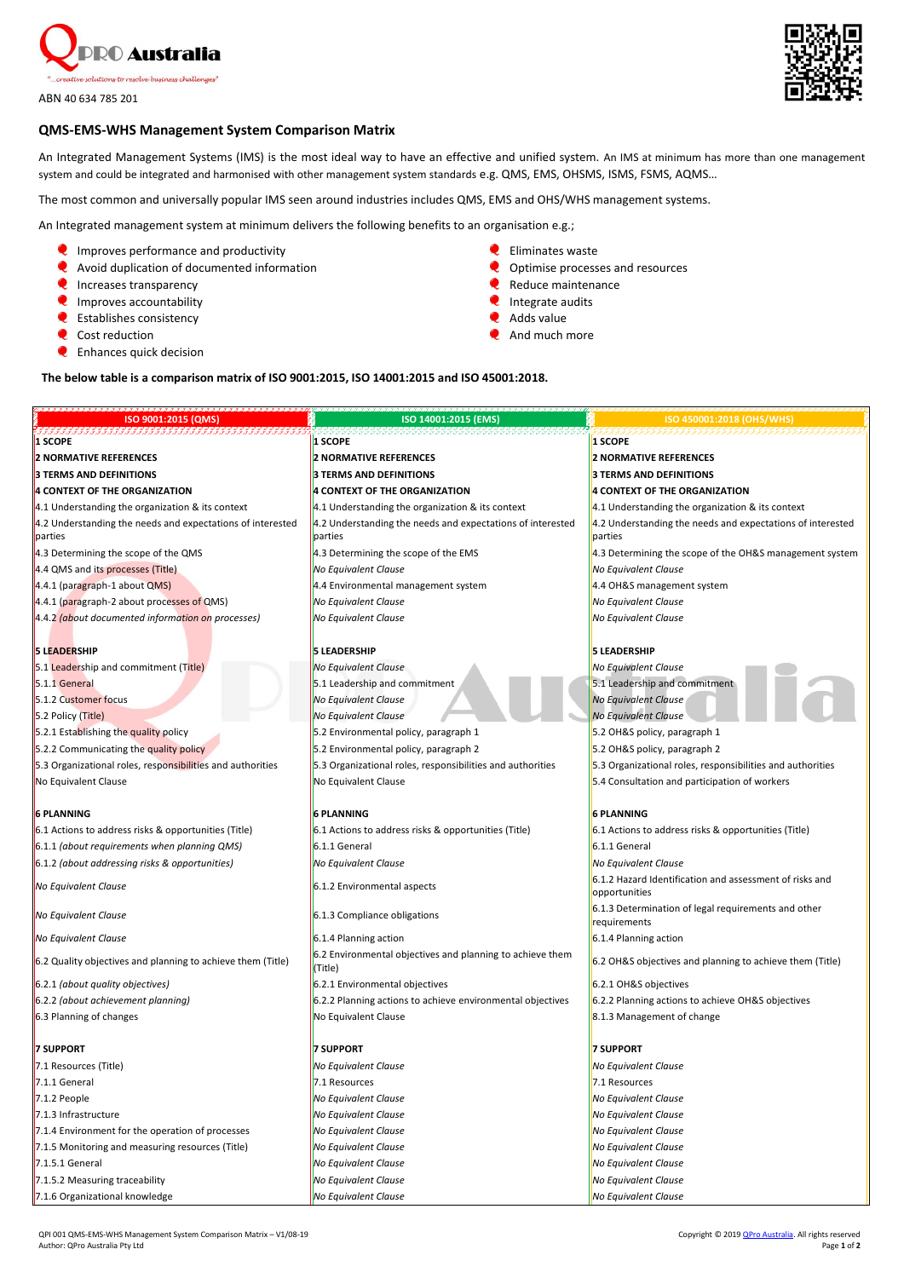

ABN 40 634 785 201



## **QMS-EMS-WHS Management System Comparison Matrix**

An Integrated Management Systems (IMS) is the most ideal way to have an effective and unified system. An IMS at minimum has more than one management system and could be integrated and harmonised with other management system standards e.g. QMS, EMS, OHSMS, ISMS, FSMS, AQMS…

The most common and universally popular IMS seen around industries includes QMS, EMS and OHS/WHS management systems.

An Integrated management system at minimum delivers the following benefits to an organisation e.g.;

- $\bullet$  Improves performance and productivity
- **Q** Avoid duplication of documented information
- **Q** Increases transparency
- **Q** Improves accountability
- **Q** Establishes consistency
- **Q** Cost reduction
- **Q** Enhances quick decision
- **C** Eliminates waste
- **Q** Optimise processes and resources
- Reduce maintenance
- $\bullet$  Integrate audits
- **Q** Adds value
- $\bullet$  And much more

### **The below table is a comparison matrix of ISO 9001:2015, ISO 14001:2015 and ISO 45001:2018.**

| ISO 9001:2015 (QMS)                                                   | ISO 14001:2015 (EMS)                                                  | ISO 450001:2018 (OHS/WHS)                                                |
|-----------------------------------------------------------------------|-----------------------------------------------------------------------|--------------------------------------------------------------------------|
| 1 SCOPE                                                               | 1 SCOPE                                                               | <b>1 SCOPE</b>                                                           |
| <b>2 NORMATIVE REFERENCES</b>                                         | <b>2 NORMATIVE REFERENCES</b>                                         | <b>2 NORMATIVE REFERENCES</b>                                            |
| <b>3 TERMS AND DEFINITIONS</b>                                        | <b>3 TERMS AND DEFINITIONS</b>                                        | <b>3 TERMS AND DEFINITIONS</b>                                           |
| <b>4 CONTEXT OF THE ORGANIZATION</b>                                  | 4 CONTEXT OF THE ORGANIZATION                                         | <b>4 CONTEXT OF THE ORGANIZATION</b>                                     |
| 4.1 Understanding the organization & its context                      | 4.1 Understanding the organization & its context                      | 4.1 Understanding the organization & its context                         |
| 4.2 Understanding the needs and expectations of interested<br>parties | 4.2 Understanding the needs and expectations of interested<br>parties | 4.2 Understanding the needs and expectations of interested<br>parties    |
| 4.3 Determining the scope of the QMS                                  | 4.3 Determining the scope of the EMS                                  | 4.3 Determining the scope of the OH&S management system                  |
| 4.4 QMS and its processes (Title)                                     | No Equivalent Clause                                                  | No Equivalent Clause                                                     |
| 4.4.1 (paragraph-1 about QMS)                                         | 4.4 Environmental management system                                   | 4.4 OH&S management system                                               |
| 4.4.1 (paragraph-2 about processes of QMS)                            | No Equivalent Clause                                                  | No Equivalent Clause                                                     |
| 4.4.2 (about documented information on processes)                     | No Equivalent Clause                                                  | No Equivalent Clause                                                     |
|                                                                       |                                                                       |                                                                          |
| <b>5 LEADERSHIP</b>                                                   | <b>5 LEADERSHIP</b>                                                   | <b>5 LEADERSHIP</b>                                                      |
| 5.1 Leadership and commitment (Title)                                 | No Equivalent Clause                                                  | No Equivalent Clause                                                     |
| 5.1.1 General                                                         | 5.1 Leadership and commitment                                         | 5.1 Leadership and commitment                                            |
| 5.1.2 Customer focus                                                  | No Equivalent Clause                                                  | No Equivalent Clause                                                     |
| 5.2 Policy (Title)                                                    | No Equivalent Clause                                                  | <b>No Equivalent Clause</b>                                              |
| 5.2.1 Establishing the quality policy                                 | 5.2 Environmental policy, paragraph 1                                 | 5.2 OH&S policy, paragraph 1                                             |
| 5.2.2 Communicating the quality policy                                | 5.2 Environmental policy, paragraph 2                                 | 5.2 OH&S policy, paragraph 2                                             |
| 5.3 Organizational roles, responsibilities and authorities            | 5.3 Organizational roles, responsibilities and authorities            | 5.3 Organizational roles, responsibilities and authorities               |
| No Equivalent Clause                                                  | No Equivalent Clause                                                  | 5.4 Consultation and participation of workers                            |
| <b>6 PLANNING</b>                                                     | <b>6 PLANNING</b>                                                     | <b>6 PLANNING</b>                                                        |
| 6.1 Actions to address risks & opportunities (Title)                  | 6.1 Actions to address risks & opportunities (Title)                  | 6.1 Actions to address risks & opportunities (Title)                     |
| 6.1.1 (about requirements when planning QMS)                          | 6.1.1 General                                                         | 6.1.1 General                                                            |
| 6.1.2 (about addressing risks & opportunities)                        | No Equivalent Clause                                                  | No Equivalent Clause                                                     |
| No Equivalent Clause                                                  | 6.1.2 Environmental aspects                                           | 6.1.2 Hazard Identification and assessment of risks and<br>opportunities |
| No Equivalent Clause                                                  | 6.1.3 Compliance obligations                                          | 6.1.3 Determination of legal requirements and other<br>requirements      |
| No Equivalent Clause                                                  | 6.1.4 Planning action                                                 | 6.1.4 Planning action                                                    |

6.2 Quality objectives and planning to achieve them (Title)  $\begin{bmatrix} 6.2 \text{ Environmental objectives and planning to achieve them} \\ \text{(Title)} \end{bmatrix}$ 

 $\big|$ 6.2 OH&S objectives and planning to achieve them (Title)

6.2.1 *(about quality objectives)* 6.2.1 Environmental objectives 6.2.1 OH&S objectives 6.2.2 *(about achievement planning)* 6.2.2 Planning actions to achieve environmental objectives 6.2.2 Planning actions to achieve OH&S objectives 6.3 Planning of changes  $\blacksquare$  No Equivalent Clause  $\blacksquare$  8.1.3 Management of change **7 SUPPORT 7 SUPPORT 7 SUPPORT**

7.1 Resources (Title) *No Equivalent Clause No Equivalent Clause* 7.1.1 General 7.1 Resources 7.1 Resources 7.1.2 People *No Equivalent Clause No Equivalent Clause* 7.1.3 Infrastructure *No Equivalent Clause No Equivalent Clause*

7.1.4 Environment for the operation of processes *No Equivalent Clause No Equivalent Clause* 7.1.5 Monitoring and measuring resources (Title) *No Equivalent Clause No Equivalent Clause* 7.1.5.1 General *No Equivalent Clause No Equivalent Clause*

7.1.5.2 Measuring traceability *No Equivalent Clause No Equivalent Clause*

7.1.6 Organizational knowledge *No Equivalent Clause No Equivalent Clause*